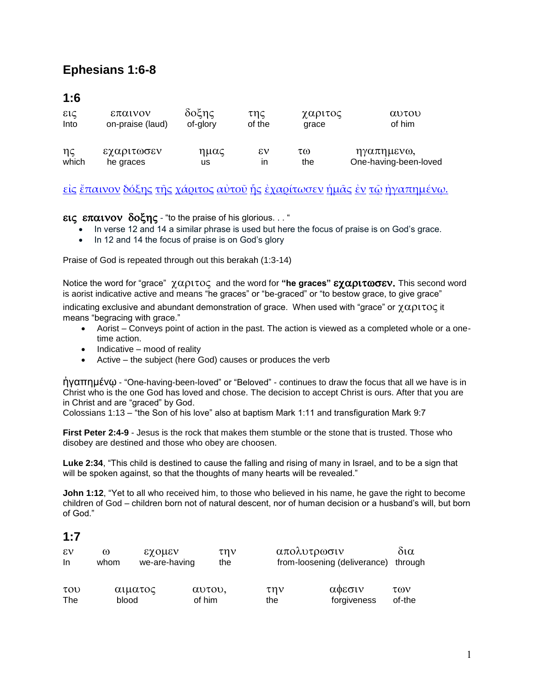# **Ephesians 1:6-8**

### **1:6**

| εις              | επαινον          | δοξης    | της    | χαριτος | αυτου                 |
|------------------|------------------|----------|--------|---------|-----------------------|
| Into             | on-praise (laud) | of-glory | of the | grace   | of him                |
| $\eta \varsigma$ | εχαριτωσεν       | ημας     | εν     | τω      | ηγαπημενω,            |
| which            | he graces        | us       | ın     | the     | One-having-been-loved |

### [εἰς](http://concordance.biblos.com/eis.htm) [ἔπαινον](http://concordance.biblos.com/epainon.htm) [δόξης](http://concordance.biblos.com/doxe_s.htm) [τῆς](http://concordance.biblos.com/te_s.htm) [χάριτος](http://concordance.biblos.com/charitos.htm) [αὐτοῦ](http://concordance.biblos.com/autou.htm) [ἧς](http://concordance.biblos.com/e_s.htm) [ἐχαρίτωσεν](http://concordance.biblos.com/echarito_sen.htm) [ἡμᾶς](http://concordance.biblos.com/e_mas.htm) [ἐν](http://concordance.biblos.com/en.htm) [τῷ](http://concordance.biblos.com/to_.htm) [ἠγαπημένῳ](http://concordance.biblos.com/e_gape_meno_.htm).

εις επαινον δοξης - "to the praise of his glorious..."

- In verse 12 and 14 a similar phrase is used but here the focus of praise is on God's grace.
- In 12 and 14 the focus of praise is on God's glory

Praise of God is repeated through out this berakah (1:3-14)

Notice the word for "grace"  $χαριτος and the word for "he graces" εχαριτωσεν. This second word$ is aorist indicative active and means "he graces" or "be-graced" or "to bestow grace, to give grace"

indicating exclusive and abundant demonstration of grace. When used with "grace" or  $\chi\alpha\rho\iota\tau o\varsigma$  it means "begracing with grace."

- Aorist Conveys point of action in the past. The action is viewed as a completed whole or a onetime action.
- $\bullet$  Indicative mood of reality
- Active the subject (here God) causes or produces the verb

ἠγαπημένῳ - "One-having-been-loved" or "Beloved" - continues to draw the focus that all we have is in Christ who is the one God has loved and chose. The decision to accept Christ is ours. After that you are in Christ and are "graced" by God.

Colossians 1:13 – "the Son of his love" also at baptism Mark 1:11 and transfiguration Mark 9:7

**First Peter 2:4-9** - Jesus is the rock that makes them stumble or the stone that is trusted. Those who disobey are destined and those who obey are choosen.

**Luke 2:34**, "This child is destined to cause the falling and rising of many in Israel, and to be a sign that will be spoken against, so that the thoughts of many hearts will be revealed."

**John 1:12**, "Yet to all who received him, to those who believed in his name, he gave the right to become children of God – children born not of natural descent, nor of human decision or a husband's will, but born of God."

#### **1:7**

| $\epsilon v$<br>In.               | ω<br>whom | εχομεν<br>we-are-having |        | την<br>the     |            | απολυτρωσιν<br>from-loosening (deliverance) | δια<br>through |
|-----------------------------------|-----------|-------------------------|--------|----------------|------------|---------------------------------------------|----------------|
| $\tau$ <sub>O</sub><br><b>The</b> | blood     | αιματος                 | of him | $\alpha$ vtov, | την<br>the | αφεσιν<br>forgiveness                       | των<br>of-the  |